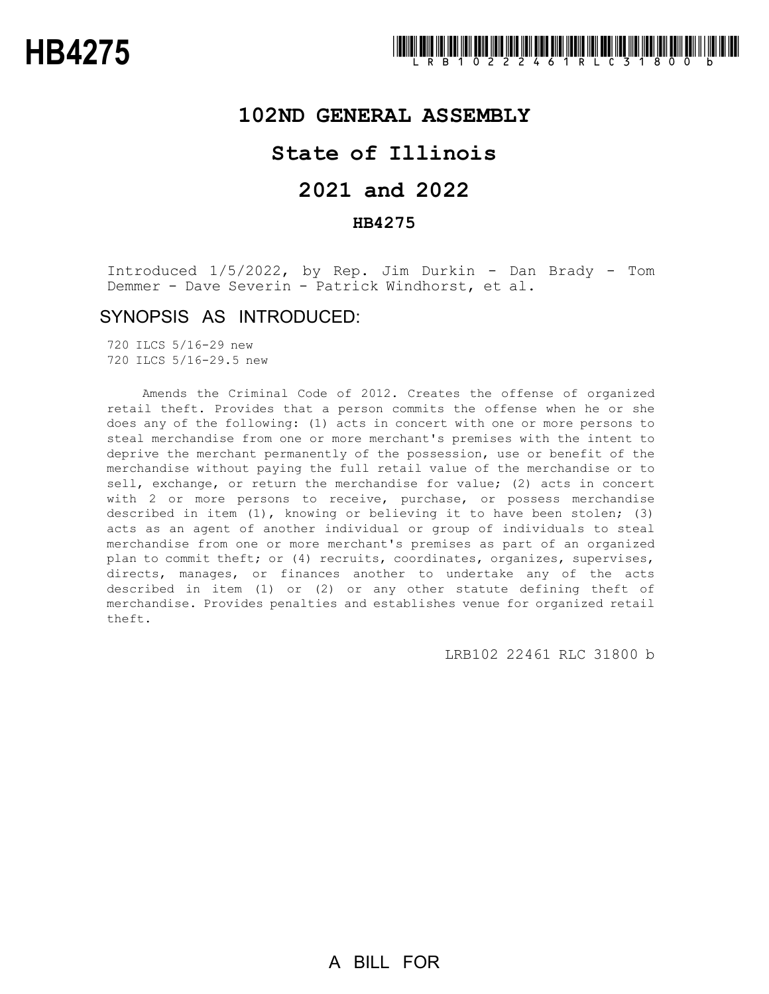### **102ND GENERAL ASSEMBLY**

## **State of Illinois**

# **2021 and 2022**

### **HB4275**

Introduced 1/5/2022, by Rep. Jim Durkin - Dan Brady - Tom Demmer - Dave Severin - Patrick Windhorst, et al.

### SYNOPSIS AS INTRODUCED:

720 ILCS 5/16-29 new 720 ILCS 5/16-29.5 new

Amends the Criminal Code of 2012. Creates the offense of organized retail theft. Provides that a person commits the offense when he or she does any of the following: (1) acts in concert with one or more persons to steal merchandise from one or more merchant's premises with the intent to deprive the merchant permanently of the possession, use or benefit of the merchandise without paying the full retail value of the merchandise or to sell, exchange, or return the merchandise for value; (2) acts in concert with 2 or more persons to receive, purchase, or possess merchandise described in item (1), knowing or believing it to have been stolen; (3) acts as an agent of another individual or group of individuals to steal merchandise from one or more merchant's premises as part of an organized plan to commit theft; or (4) recruits, coordinates, organizes, supervises, directs, manages, or finances another to undertake any of the acts described in item (1) or (2) or any other statute defining theft of merchandise. Provides penalties and establishes venue for organized retail theft.

LRB102 22461 RLC 31800 b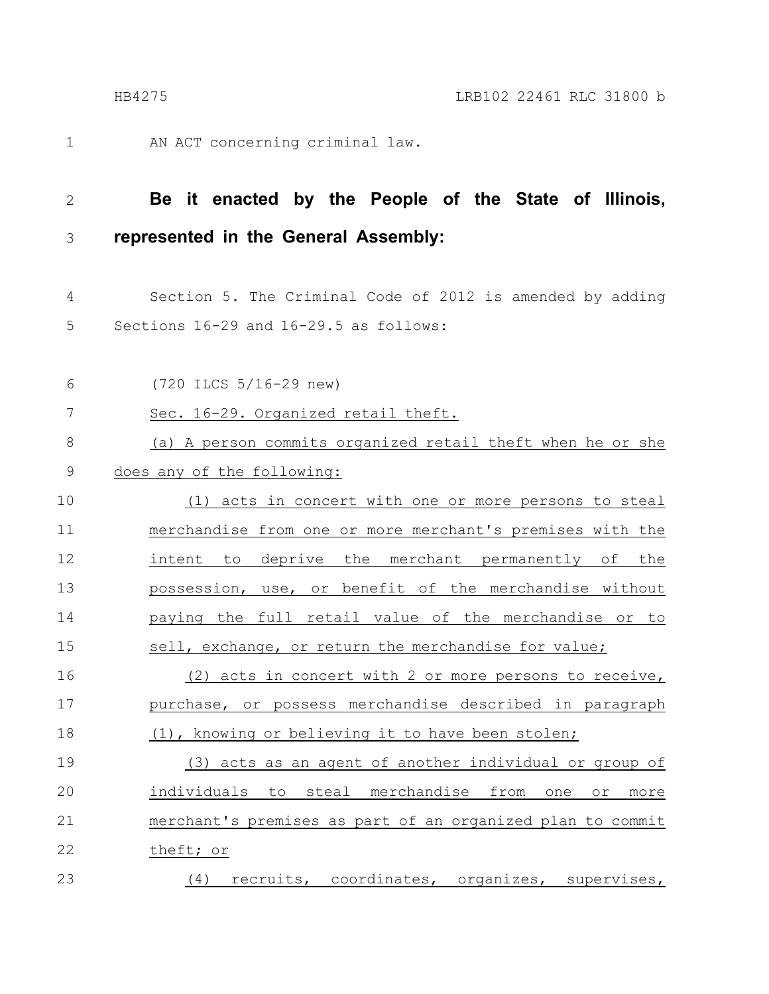1

AN ACT concerning criminal law.

#### **Be it enacted by the People of the State of Illinois, represented in the General Assembly:** 2 3

- Section 5. The Criminal Code of 2012 is amended by adding Sections 16-29 and 16-29.5 as follows: 4 5
- (720 ILCS 5/16-29 new) Sec. 16-29. Organized retail theft. (a) A person commits organized retail theft when he or she does any of the following: (1) acts in concert with one or more persons to steal merchandise from one or more merchant's premises with the intent to deprive the merchant permanently of the possession, use, or benefit of the merchandise without paying the full retail value of the merchandise or to sell, exchange, or return the merchandise for value; (2) acts in concert with 2 or more persons to receive, purchase, or possess merchandise described in paragraph (1), knowing or believing it to have been stolen; (3) acts as an agent of another individual or group of individuals to steal merchandise from one or more merchant's premises as part of an organized plan to commit theft; or (4) recruits, coordinates, organizes, supervises, 6 7 8 9 10 11 12 13 14 15 16 17 18 19 20 21 22 23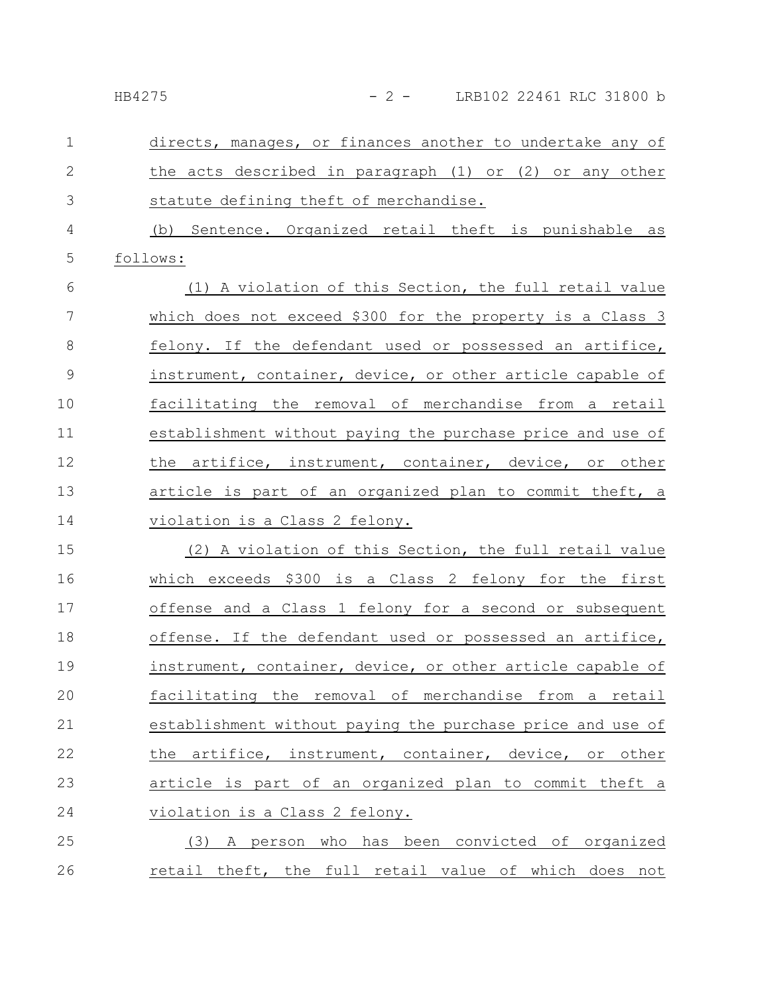| HB4275 | LRB102 22461 RLC 31800 b |  |  |
|--------|--------------------------|--|--|
|        |                          |  |  |

| $\mathbf{1}$   | directs, manages, or finances another to undertake any of  |
|----------------|------------------------------------------------------------|
| $\mathbf{2}$   | the acts described in paragraph (1) or (2) or any other    |
| 3              | statute defining theft of merchandise.                     |
| $\overline{4}$ | (b) Sentence. Organized retail theft is punishable as      |
| 5              | follows:                                                   |
| 6              | (1) A violation of this Section, the full retail value     |
| $\overline{7}$ | which does not exceed \$300 for the property is a Class 3  |
| 8              | felony. If the defendant used or possessed an artifice,    |
| $\mathcal{G}$  | instrument, container, device, or other article capable of |
| 10             | facilitating the removal of merchandise from a retail      |
| 11             | establishment without paying the purchase price and use of |
| 12             | the artifice, instrument, container, device, or other      |
| 13             | article is part of an organized plan to commit theft, a    |
| 14             | violation is a Class 2 felony.                             |
| 15             | (2) A violation of this Section, the full retail value     |
| 16             | which exceeds \$300 is a Class 2 felony for the first      |
| 17             | offense and a Class 1 felony for a second or subsequent    |
| 18             | offense. If the defendant used or possessed an artifice,   |
| 19             | instrument, container, device, or other article capable of |
| 20             | facilitating the removal of merchandise from a retail      |
| 21             | establishment without paying the purchase price and use of |
| 22             | the artifice, instrument, container, device, or other      |
| 23             | article is part of an organized plan to commit theft a     |
| 24             | violation is a Class 2 felony.                             |
| 25             | (3) A person who has been convicted of organized           |
|                |                                                            |

retail theft, the full retail value of which does not 26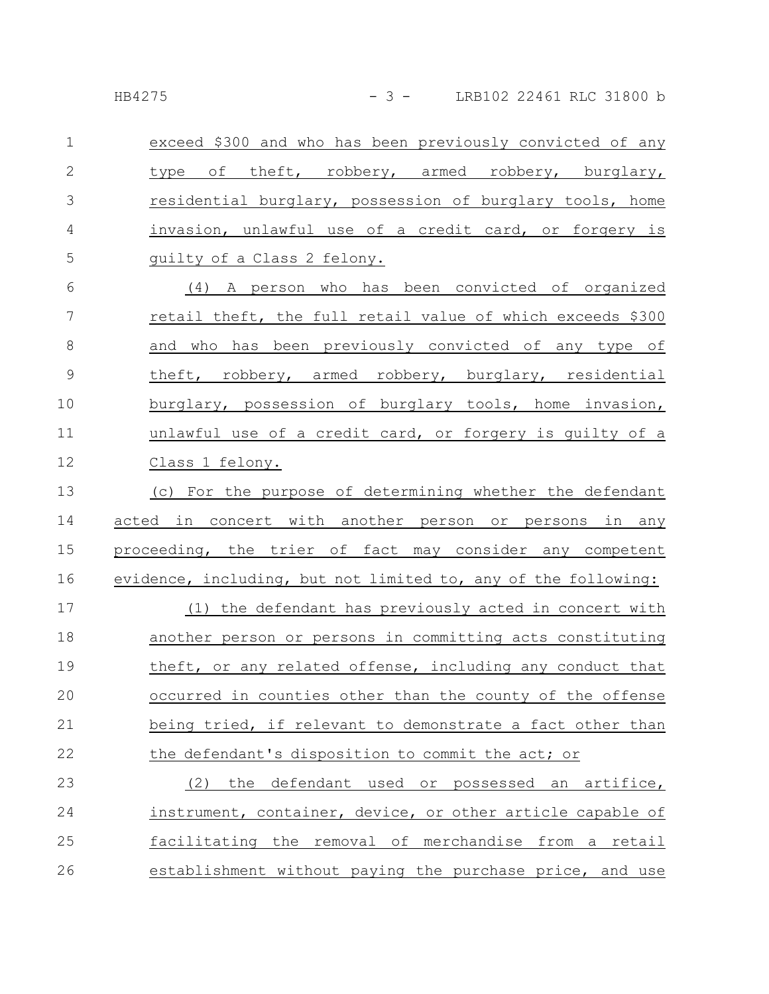| $\mathbf 1$    | exceed \$300 and who has been previously convicted of any      |
|----------------|----------------------------------------------------------------|
| $\mathbf{2}$   | type of theft, robbery, armed robbery, burglary,               |
| 3              | residential burglary, possession of burglary tools, home       |
| $\overline{4}$ | invasion, unlawful use of a credit card, or forgery is         |
| 5              | guilty of a Class 2 felony.                                    |
| 6              | (4) A person who has been convicted of organized               |
| 7              | retail theft, the full retail value of which exceeds \$300     |
| 8              | and who has been previously convicted of any type of           |
| $\mathsf 9$    | theft, robbery, armed robbery, burglary, residential           |
| 10             | burglary, possession of burglary tools, home invasion,         |
| 11             | unlawful use of a credit card, or forgery is guilty of a       |
| 12             | Class 1 felony.                                                |
| 13             | (c) For the purpose of determining whether the defendant       |
| 14             | acted in concert with another person or persons in any         |
| 15             | proceeding, the trier of fact may consider any competent       |
| 16             | evidence, including, but not limited to, any of the following: |
| 17             | (1) the defendant has previously acted in concert with         |
| 18             | another person or persons in committing acts constituting      |
| 19             | theft, or any related offense, including any conduct that      |
| 20             | occurred in counties other than the county of the offense      |
| 21             | being tried, if relevant to demonstrate a fact other than      |
| 22             | the defendant's disposition to commit the act; or              |
| 23             | the defendant used or possessed an artifice,<br>(2)            |
| 24             | instrument, container, device, or other article capable of     |
| 25             | facilitating the removal of merchandise from a retail          |
| 26             | establishment without paying the purchase price, and use       |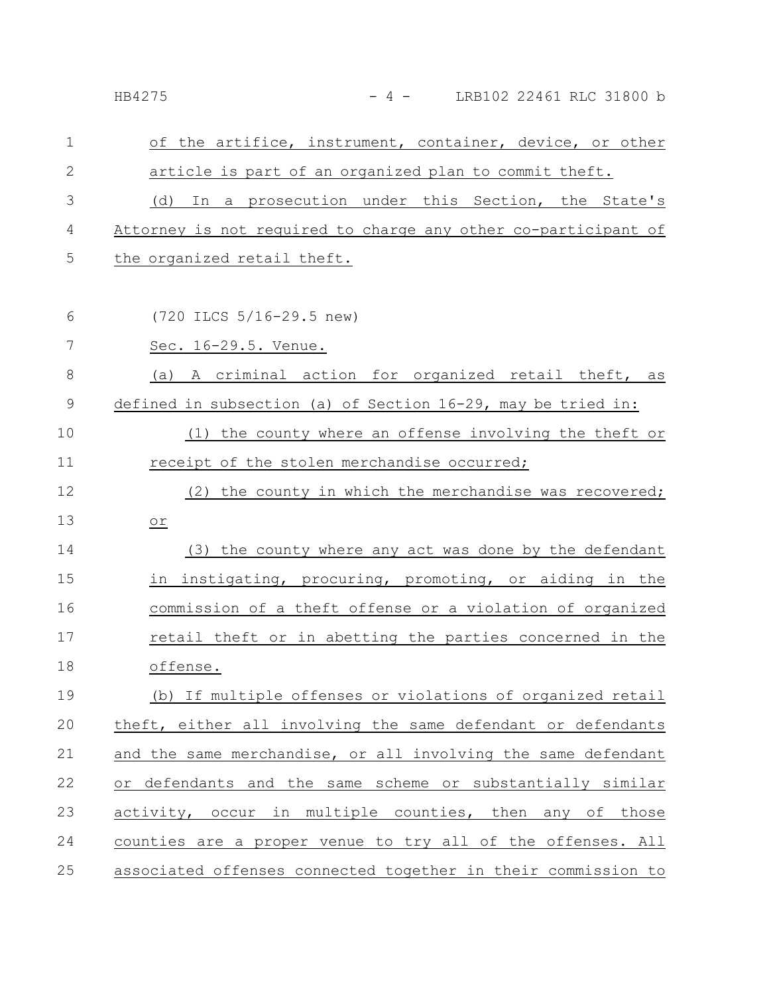| $\mathbf{1}$ | of the artifice, instrument, container, device, or other       |
|--------------|----------------------------------------------------------------|
| 2            | article is part of an organized plan to commit theft.          |
| 3            | In a prosecution under this Section, the State's<br>(d)        |
| 4            | Attorney is not required to charge any other co-participant of |
| 5            | the organized retail theft.                                    |
|              |                                                                |
| 6            | (720 ILCS 5/16-29.5 new)                                       |
| 7            | Sec. 16-29.5. Venue.                                           |
| 8            | (a) A criminal action for organized retail theft, as           |
| 9            | defined in subsection (a) of Section 16-29, may be tried in:   |
| 10           | (1) the county where an offense involving the theft or         |
| 11           | receipt of the stolen merchandise occurred;                    |
| 12           | (2) the county in which the merchandise was recovered;         |
| 13           | ОĽ                                                             |
| 14           | (3) the county where any act was done by the defendant         |
| 15           | in instigating, procuring, promoting, or aiding in the         |
| 16           | commission of a theft offense or a violation of organized      |
| 17           | retail theft or in abetting the parties concerned in the       |
| 18           | offense.                                                       |
| 19           | (b) If multiple offenses or violations of organized retail     |
| 20           | theft, either all involving the same defendant or defendants   |
| 21           | and the same merchandise, or all involving the same defendant  |
| 22           | or defendants and the same scheme or substantially similar     |
| 23           | activity, occur in multiple counties, then any of those        |
| 24           | counties are a proper venue to try all of the offenses. All    |

HB4275 - 4 - LRB102 22461 RLC 31800 b

associated offenses connected together in their commission to 25